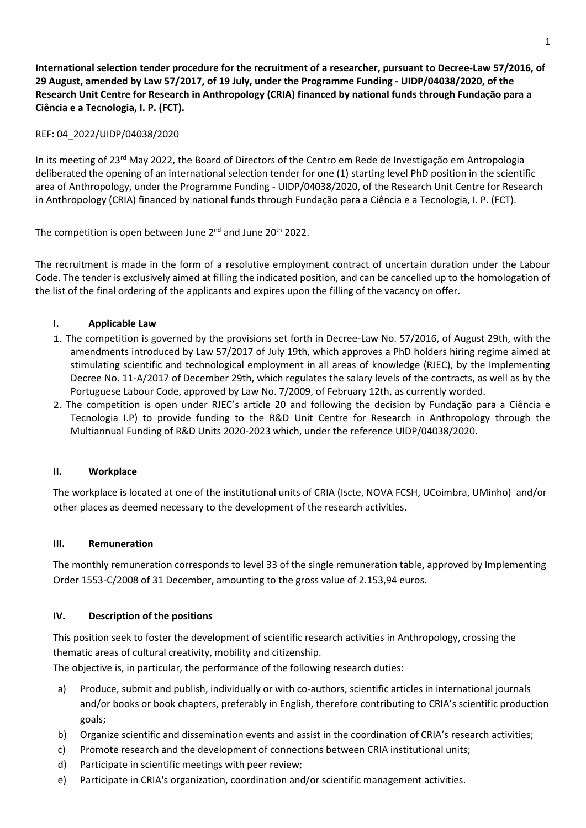**International selection tender procedure for the recruitment of a researcher, pursuant to Decree-Law 57/2016, of 29 August, amended by Law 57/2017, of 19 July, under the Programme Funding - UIDP/04038/2020, of the Research Unit Centre for Research in Anthropology (CRIA) financed by national funds through Fundação para a Ciência e a Tecnologia, I. P. (FCT).**

## REF: 04\_2022/UIDP/04038/2020

In its meeting of 23rd May 2022, the Board of Directors of the Centro em Rede de Investigação em Antropologia deliberated the opening of an international selection tender for one (1) starting level PhD position in the scientific area of Anthropology, under the Programme Funding - UIDP/04038/2020, of the Research Unit Centre for Research in Anthropology (CRIA) financed by national funds through Fundação para a Ciência e a Tecnologia, I. P. (FCT).

The competition is open between June  $2^{nd}$  and June  $20^{th}$  2022.

The recruitment is made in the form of a resolutive employment contract of uncertain duration under the Labour Code. The tender is exclusively aimed at filling the indicated position, and can be cancelled up to the homologation of the list of the final ordering of the applicants and expires upon the filling of the vacancy on offer.

## **I. Applicable Law**

- 1. The competition is governed by the provisions set forth in Decree-Law No. 57/2016, of August 29th, with the amendments introduced by Law 57/2017 of July 19th, which approves a PhD holders hiring regime aimed at stimulating scientific and technological employment in all areas of knowledge (RJEC), by the Implementing Decree No. 11-A/2017 of December 29th, which regulates the salary levels of the contracts, as well as by the Portuguese Labour Code, approved by Law No. 7/2009, of February 12th, as currently worded.
- 2. The competition is open under RJEC's article 20 and following the decision by Fundação para a Ciência e Tecnologia I.P) to provide funding to the R&D Unit Centre for Research in Anthropology through the Multiannual Funding of R&D Units 2020-2023 which, under the reference UIDP/04038/2020.

## **II. Workplace**

The workplace is located at one of the institutional units of CRIA (Iscte, NOVA FCSH, UCoimbra, UMinho) and/or other places as deemed necessary to the development of the research activities.

## **III. Remuneration**

The monthly remuneration corresponds to level 33 of the single remuneration table, approved by Implementing Order 1553-C/2008 of 31 December, amounting to the gross value of 2.153,94 euros.

## **IV. Description of the positions**

This position seek to foster the development of scientific research activities in Anthropology, crossing the thematic areas of cultural creativity, mobility and citizenship.

The objective is, in particular, the performance of the following research duties:

- a) Produce, submit and publish, individually or with co-authors, scientific articles in international journals and/or books or book chapters, preferably in English, therefore contributing to CRIA's scientific production goals;
- b) Organize scientific and dissemination events and assist in the coordination of CRIA's research activities;
- c) Promote research and the development of connections between CRIA institutional units;
- d) Participate in scientific meetings with peer review;
- e) Participate in CRIA's organization, coordination and/or scientific management activities.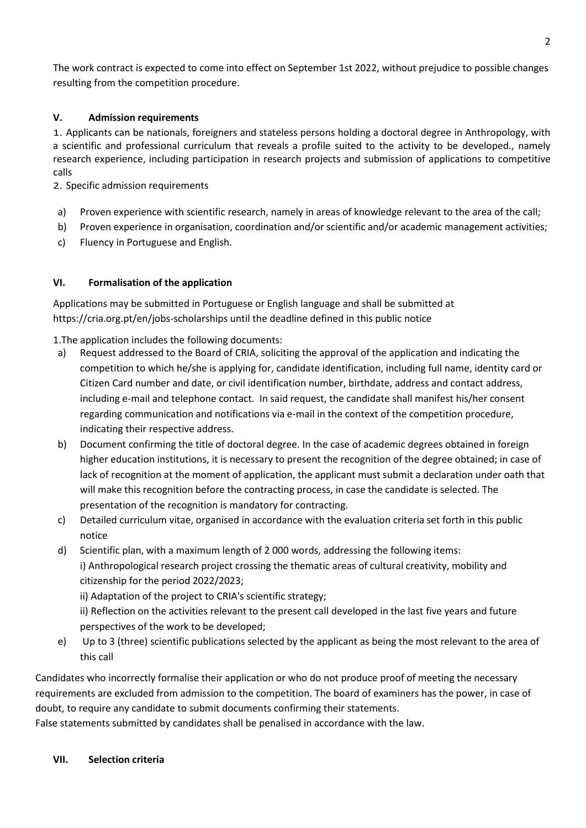The work contract is expected to come into effect on September 1st 2022, without prejudice to possible changes resulting from the competition procedure.

## **V. Admission requirements**

1. Applicants can be nationals, foreigners and stateless persons holding a doctoral degree in Anthropology, with a scientific and professional curriculum that reveals a profile suited to the activity to be developed., namely research experience, including participation in research projects and submission of applications to competitive calls

2. Specific admission requirements

- a) Proven experience with scientific research, namely in areas of knowledge relevant to the area of the call;
- b) Proven experience in organisation, coordination and/or scientific and/or academic management activities;
- c) Fluency in Portuguese and English.

## **VI. Formalisation of the application**

Applications may be submitted in Portuguese or English language and shall be submitted at https://cria.org.pt/en/jobs-scholarships until the deadline defined in this public notice

1.The application includes the following documents:

- a) Request addressed to the Board of CRIA, soliciting the approval of the application and indicating the competition to which he/she is applying for, candidate identification, including full name, identity card or Citizen Card number and date, or civil identification number, birthdate, address and contact address, including e-mail and telephone contact. In said request, the candidate shall manifest his/her consent regarding communication and notifications via e-mail in the context of the competition procedure, indicating their respective address.
- b) Document confirming the title of doctoral degree. In the case of academic degrees obtained in foreign higher education institutions, it is necessary to present the recognition of the degree obtained; in case of lack of recognition at the moment of application, the applicant must submit a declaration under oath that will make this recognition before the contracting process, in case the candidate is selected. The presentation of the recognition is mandatory for contracting.
- c) Detailed curriculum vitae, organised in accordance with the evaluation criteria set forth in this public notice
- d) Scientific plan, with a maximum length of 2 000 words, addressing the following items: i) Anthropological research project crossing the thematic areas of cultural creativity, mobility and citizenship for the period 2022/2023;

ii) Adaptation of the project to CRIA's scientific strategy;

ii) Reflection on the activities relevant to the present call developed in the last five years and future perspectives of the work to be developed;

e) Up to 3 (three) scientific publications selected by the applicant as being the most relevant to the area of this call

Candidates who incorrectly formalise their application or who do not produce proof of meeting the necessary requirements are excluded from admission to the competition. The board of examiners has the power, in case of doubt, to require any candidate to submit documents confirming their statements.

False statements submitted by candidates shall be penalised in accordance with the law.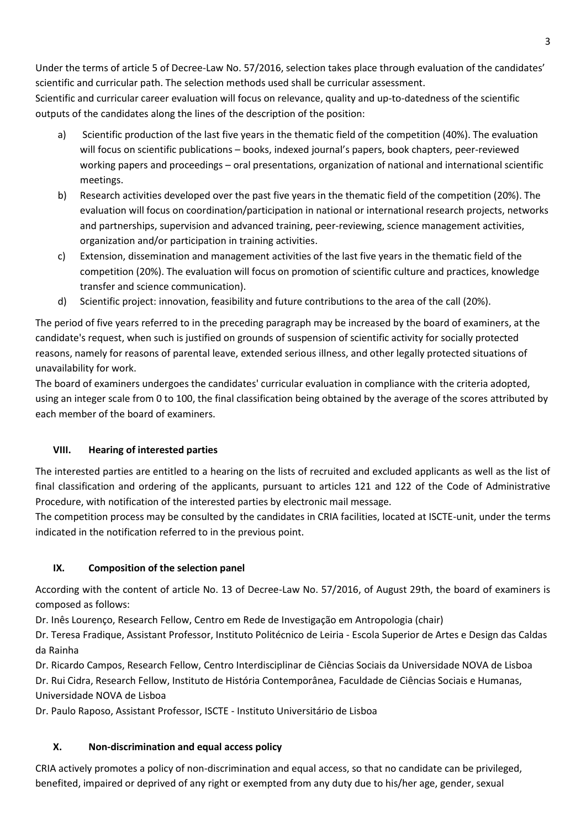Under the terms of article 5 of Decree-Law No. 57/2016, selection takes place through evaluation of the candidates' scientific and curricular path. The selection methods used shall be curricular assessment.

Scientific and curricular career evaluation will focus on relevance, quality and up-to-datedness of the scientific outputs of the candidates along the lines of the description of the position:

- a) Scientific production of the last five years in the thematic field of the competition (40%). The evaluation will focus on scientific publications – books, indexed journal's papers, book chapters, peer-reviewed working papers and proceedings – oral presentations, organization of national and international scientific meetings.
- b) Research activities developed over the past five years in the thematic field of the competition (20%). The evaluation will focus on coordination/participation in national or international research projects, networks and partnerships, supervision and advanced training, peer-reviewing, science management activities, organization and/or participation in training activities.
- c) Extension, dissemination and management activities of the last five years in the thematic field of the competition (20%). The evaluation will focus on promotion of scientific culture and practices, knowledge transfer and science communication).
- d) Scientific project: innovation, feasibility and future contributions to the area of the call (20%).

The period of five years referred to in the preceding paragraph may be increased by the board of examiners, at the candidate's request, when such is justified on grounds of suspension of scientific activity for socially protected reasons, namely for reasons of parental leave, extended serious illness, and other legally protected situations of unavailability for work.

The board of examiners undergoes the candidates' curricular evaluation in compliance with the criteria adopted, using an integer scale from 0 to 100, the final classification being obtained by the average of the scores attributed by each member of the board of examiners.

## **VIII. Hearing of interested parties**

The interested parties are entitled to a hearing on the lists of recruited and excluded applicants as well as the list of final classification and ordering of the applicants, pursuant to articles 121 and 122 of the Code of Administrative Procedure, with notification of the interested parties by electronic mail message.

The competition process may be consulted by the candidates in CRIA facilities, located at ISCTE-unit, under the terms indicated in the notification referred to in the previous point.

# **IX. Composition of the selection panel**

According with the content of article No. 13 of Decree-Law No. 57/2016, of August 29th, the board of examiners is composed as follows:

Dr. Inês Lourenço, Research Fellow, Centro em Rede de Investigação em Antropologia (chair)

Dr. Teresa Fradique, Assistant Professor, Instituto Politécnico de Leiria - Escola Superior de Artes e Design das Caldas da Rainha

Dr. Ricardo Campos, Research Fellow, Centro Interdisciplinar de Ciências Sociais da Universidade NOVA de Lisboa

Dr. Rui Cidra, Research Fellow, Instituto de História Contemporânea, Faculdade de Ciências Sociais e Humanas, Universidade NOVA de Lisboa

Dr. Paulo Raposo, Assistant Professor, ISCTE - Instituto Universitário de Lisboa

# **X. Non-discrimination and equal access policy**

CRIA actively promotes a policy of non-discrimination and equal access, so that no candidate can be privileged, benefited, impaired or deprived of any right or exempted from any duty due to his/her age, gender, sexual